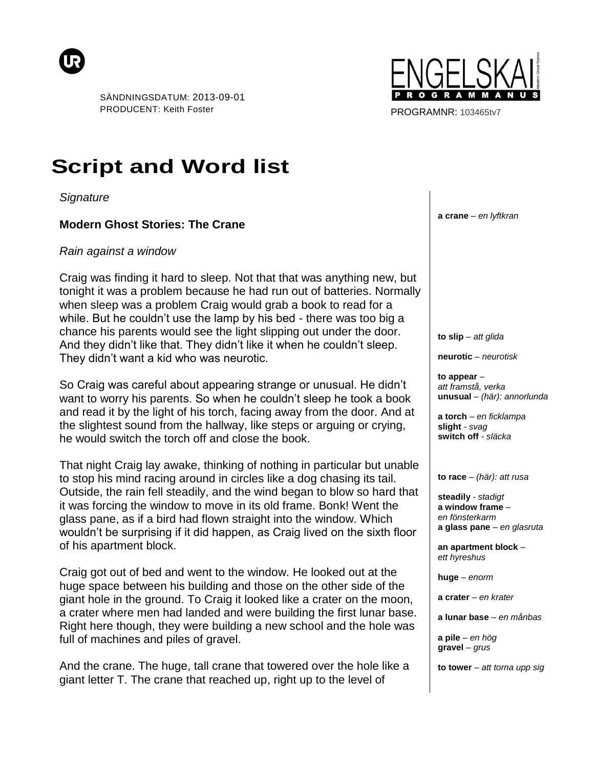



PROGRAMNR: 103465tv7

## **Script and Word list**

*Signature*

## **Modern Ghost Stories: The Crane**

## *Rain against a window*

Craig was finding it hard to sleep. Not that that was anything new, but tonight it was a problem because he had run out of batteries. Normally when sleep was a problem Craig would grab a book to read for a while. But he couldn't use the lamp by his bed - there was too big a chance his parents would see the light slipping out under the door. And they didn't like that. They didn't like it when he couldn't sleep. They didn't want a kid who was neurotic.

So Craig was careful about appearing strange or unusual. He didn't want to worry his parents. So when he couldn't sleep he took a book and read it by the light of his torch, facing away from the door. And at the slightest sound from the hallway, like steps or arguing or crying, he would switch the torch off and close the book.

That night Craig lay awake, thinking of nothing in particular but unable to stop his mind racing around in circles like a dog chasing its tail. Outside, the rain fell steadily, and the wind began to blow so hard that it was forcing the window to move in its old frame. Bonk! Went the glass pane, as if a bird had flown straight into the window. Which wouldn't be surprising if it did happen, as Craig lived on the sixth floor of his apartment block.

Craig got out of bed and went to the window. He looked out at the huge space between his building and those on the other side of the giant hole in the ground. To Craig it looked like a crater on the moon, a crater where men had landed and were building the first lunar base. Right here though, they were building a new school and the hole was full of machines and piles of gravel.

And the crane. The huge, tall crane that towered over the hole like a giant letter T. The crane that reached up, right up to the level of

**a crane** *– en lyftkran*

**to slip** *– att glida*

**neurotic** *– neurotisk*

**to appear** *– att framstå, verka* **unusual** *– (här): annorlunda*

**a torch** *– en ficklampa* **slight** *- svag* **switch off** *- släcka*

**to race** *– (här): att rusa*

**steadily** *- stadigt* **a window frame** *– en fönsterkarm* **a glass pane** *– en glasruta*

**an apartment block** *– ett hyreshus*

**huge** *– enorm*

**a crater** *– en krater*

**a lunar base** *– en månbas*

**a pile** *– en hög* **gravel** *– grus*

**to tower** *– att torna upp sig*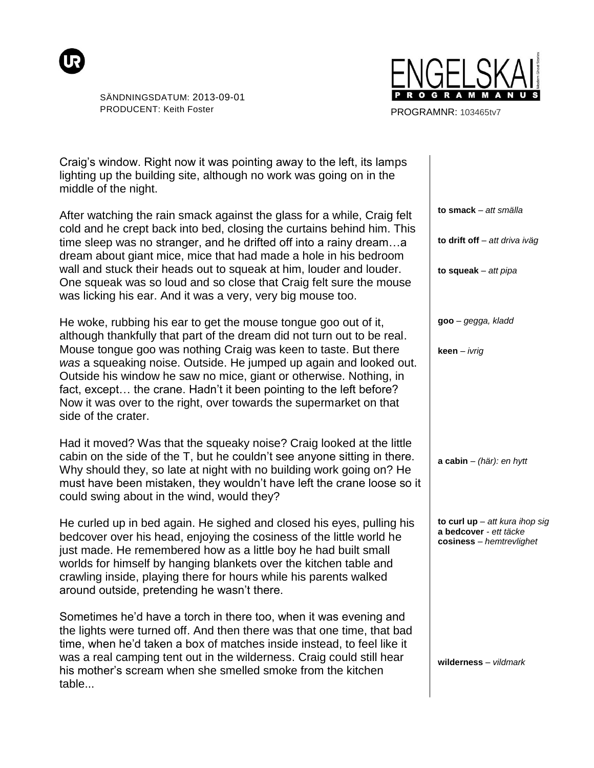



PROGRAMNR: 103465tv7

Craig's window. Right now it was pointing away to the left, its lamps lighting up the building site, although no work was going on in the middle of the night.

After watching the rain smack against the glass for a while, Craig felt cold and he crept back into bed, closing the curtains behind him. This time sleep was no stranger, and he drifted off into a rainy dream…a dream about giant mice, mice that had made a hole in his bedroom wall and stuck their heads out to squeak at him, louder and louder. One squeak was so loud and so close that Craig felt sure the mouse was licking his ear. And it was a very, very big mouse too.

He woke, rubbing his ear to get the mouse tongue goo out of it, although thankfully that part of the dream did not turn out to be real. Mouse tongue goo was nothing Craig was keen to taste. But there *was* a squeaking noise. Outside. He jumped up again and looked out. Outside his window he saw no mice, giant or otherwise. Nothing, in fact, except… the crane. Hadn't it been pointing to the left before? Now it was over to the right, over towards the supermarket on that side of the crater.

Had it moved? Was that the squeaky noise? Craig looked at the little cabin on the side of the T, but he couldn't see anyone sitting in there. Why should they, so late at night with no building work going on? He must have been mistaken, they wouldn't have left the crane loose so it could swing about in the wind, would they?

He curled up in bed again. He sighed and closed his eyes, pulling his bedcover over his head, enjoying the cosiness of the little world he just made. He remembered how as a little boy he had built small worlds for himself by hanging blankets over the kitchen table and crawling inside, playing there for hours while his parents walked around outside, pretending he wasn't there.

Sometimes he'd have a torch in there too, when it was evening and the lights were turned off. And then there was that one time, that bad time, when he'd taken a box of matches inside instead, to feel like it was a real camping tent out in the wilderness. Craig could still hear his mother's scream when she smelled smoke from the kitchen table...

**to smack** *– att smälla* **to drift off** *– att driva iväg* **to squeak** *– att pipa* **goo** *– gegga, kladd* **keen** *– ivrig* **a cabin** *– (här): en hytt* **to curl up** *– att kura ihop sig* **a bedcover** *- ett täcke* **cosiness** *– hemtrevlighet* **wilderness** *– vildmark*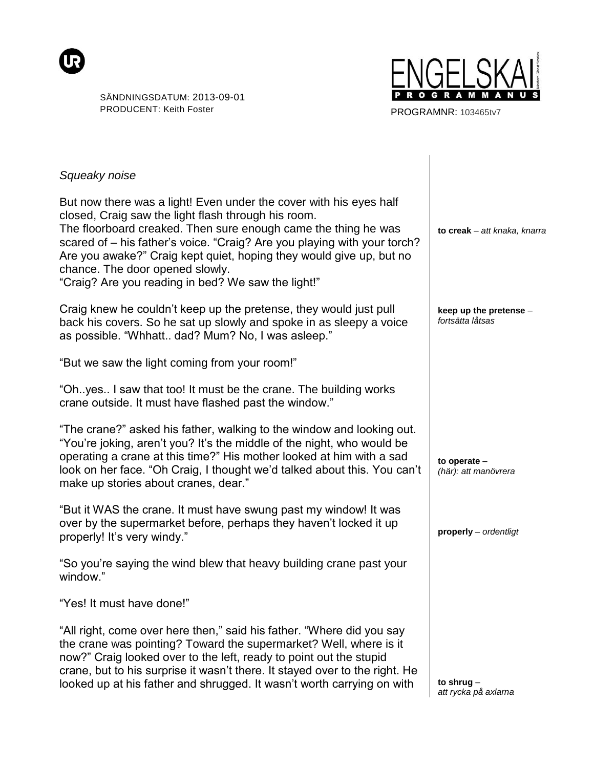



PROGRAMNR: 103465tv7

| Squeaky noise                                                                                                                                                                                                                                                                                                                                                                                                                           |                                            |
|-----------------------------------------------------------------------------------------------------------------------------------------------------------------------------------------------------------------------------------------------------------------------------------------------------------------------------------------------------------------------------------------------------------------------------------------|--------------------------------------------|
| But now there was a light! Even under the cover with his eyes half<br>closed, Craig saw the light flash through his room.<br>The floorboard creaked. Then sure enough came the thing he was<br>scared of - his father's voice. "Craig? Are you playing with your torch?<br>Are you awake?" Craig kept quiet, hoping they would give up, but no<br>chance. The door opened slowly.<br>"Craig? Are you reading in bed? We saw the light!" | to creak - att knaka, knarra               |
| Craig knew he couldn't keep up the pretense, they would just pull<br>back his covers. So he sat up slowly and spoke in as sleepy a voice<br>as possible. "Whhatt dad? Mum? No, I was asleep."                                                                                                                                                                                                                                           | keep up the pretense -<br>fortsätta låtsas |
| "But we saw the light coming from your room!"                                                                                                                                                                                                                                                                                                                                                                                           |                                            |
| "Oh. yes I saw that too! It must be the crane. The building works<br>crane outside. It must have flashed past the window."                                                                                                                                                                                                                                                                                                              |                                            |
| "The crane?" asked his father, walking to the window and looking out.<br>"You're joking, aren't you? It's the middle of the night, who would be<br>operating a crane at this time?" His mother looked at him with a sad<br>look on her face. "Oh Craig, I thought we'd talked about this. You can't<br>make up stories about cranes, dear."                                                                                             | to operate -<br>(här): att manövrera       |
| "But it WAS the crane. It must have swung past my window! It was<br>over by the supermarket before, perhaps they haven't locked it up<br>properly! It's very windy."                                                                                                                                                                                                                                                                    | properly - ordentligt                      |
| "So you're saying the wind blew that heavy building crane past your<br>window."                                                                                                                                                                                                                                                                                                                                                         |                                            |
| "Yes! It must have done!"                                                                                                                                                                                                                                                                                                                                                                                                               |                                            |
| "All right, come over here then," said his father. "Where did you say<br>the crane was pointing? Toward the supermarket? Well, where is it<br>now?" Craig looked over to the left, ready to point out the stupid<br>crane, but to his surprise it wasn't there. It stayed over to the right. He<br>looked up at his father and shrugged. It wasn't worth carrying on with                                                               | to shrug $-$<br>att rycka på axlarna       |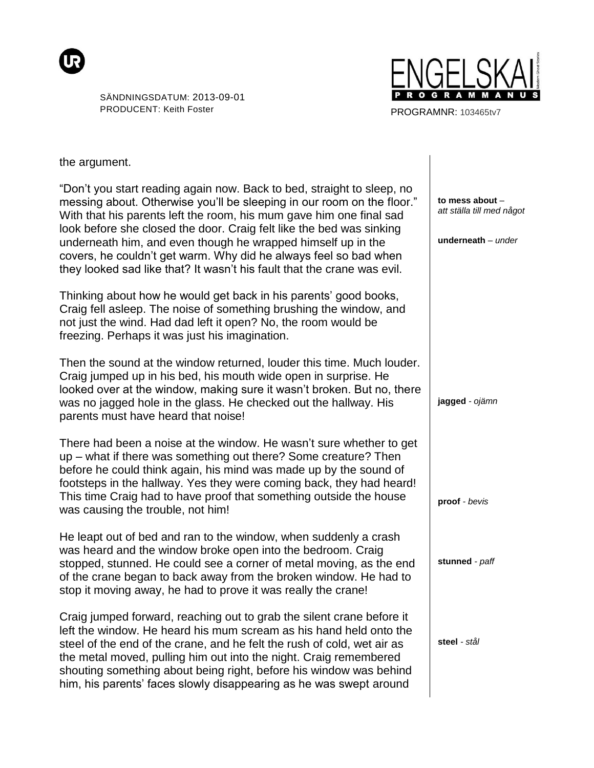



PROGRAMNR: 103465tv7

the argument.

| "Don't you start reading again now. Back to bed, straight to sleep, no<br>messing about. Otherwise you'll be sleeping in our room on the floor."<br>With that his parents left the room, his mum gave him one final sad<br>look before she closed the door. Craig felt like the bed was sinking<br>underneath him, and even though he wrapped himself up in the<br>covers, he couldn't get warm. Why did he always feel so bad when<br>they looked sad like that? It wasn't his fault that the crane was evil. | to mess about -<br>att ställa till med något<br>underneath $-$ under |
|----------------------------------------------------------------------------------------------------------------------------------------------------------------------------------------------------------------------------------------------------------------------------------------------------------------------------------------------------------------------------------------------------------------------------------------------------------------------------------------------------------------|----------------------------------------------------------------------|
| Thinking about how he would get back in his parents' good books,<br>Craig fell asleep. The noise of something brushing the window, and<br>not just the wind. Had dad left it open? No, the room would be<br>freezing. Perhaps it was just his imagination.                                                                                                                                                                                                                                                     |                                                                      |
| Then the sound at the window returned, louder this time. Much louder.<br>Craig jumped up in his bed, his mouth wide open in surprise. He<br>looked over at the window, making sure it wasn't broken. But no, there<br>was no jagged hole in the glass. He checked out the hallway. His<br>parents must have heard that noise!                                                                                                                                                                                  | jagged - ojämn                                                       |
| There had been a noise at the window. He wasn't sure whether to get<br>up – what if there was something out there? Some creature? Then<br>before he could think again, his mind was made up by the sound of<br>footsteps in the hallway. Yes they were coming back, they had heard!<br>This time Craig had to have proof that something outside the house<br>was causing the trouble, not him!                                                                                                                 | proof - bevis                                                        |
| He leapt out of bed and ran to the window, when suddenly a crash<br>was heard and the window broke open into the bedroom. Craig<br>stopped, stunned. He could see a corner of metal moving, as the end<br>of the crane began to back away from the broken window. He had to<br>stop it moving away, he had to prove it was really the crane!                                                                                                                                                                   | stunned - paff                                                       |
| Craig jumped forward, reaching out to grab the silent crane before it<br>left the window. He heard his mum scream as his hand held onto the<br>steel of the end of the crane, and he felt the rush of cold, wet air as<br>the metal moved, pulling him out into the night. Craig remembered<br>shouting something about being right, before his window was behind<br>him, his parents' faces slowly disappearing as he was swept around                                                                        | steel - stål                                                         |